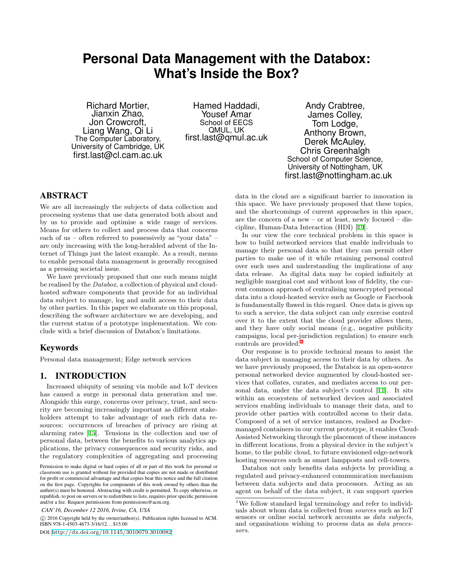# **Personal Data Management with the Databox: What's Inside the Box?**

Richard Mortier, Jianxin Zhao, Jon Crowcroft, Liang Wang, Qi Li The Computer Laboratory, University of Cambridge, UK first.last@cl.cam.ac.uk

Hamed Haddadi, Yousef Amar School of EECS QMUL, UK first.last@qmul.ac.uk

Andy Crabtree, James Colley, Tom Lodge, Anthony Brown, Derek McAuley, Chris Greenhalgh School of Computer Science. University of Nottingham, UK first.last@nottingham.ac.uk

# ABSTRACT

We are all increasingly the subjects of data collection and processing systems that use data generated both about and by us to provide and optimise a wide range of services. Means for others to collect and process data that concerns each of us – often referred to possessively as "your data" – are only increasing with the long-heralded advent of the Internet of Things just the latest example. As a result, means to enable personal data management is generally recognised as a pressing societal issue.

We have previously proposed that one such means might be realised by the *Databox*, a collection of physical and cloudhosted software components that provide for an individual data subject to manage, log and audit access to their data by other parties. In this paper we elaborate on this proposal, describing the software architecture we are developing, and the current status of a prototype implementation. We conclude with a brief discussion of Databox's limitations.

#### Keywords

Personal data management; Edge network services

#### 1. INTRODUCTION

Increased ubiquity of sensing via mobile and IoT devices has caused a surge in personal data generation and use. Alongside this surge, concerns over privacy, trust, and security are becoming increasingly important as different stakeholders attempt to take advantage of such rich data resources: occurrences of breaches of privacy are rising at alarming rates [\[15](#page-5-0)]. Tensions in the collection and use of personal data, between the benefits to various analytics applications, the privacy consequences and security risks, and the regulatory complexities of aggregating and processing

 $\circ$  2016 Copyright held by the owner/author(s). Publication rights licensed to ACM. ISBN 978-1-4503-4673-3/16/12. . . \$15.00

DOI: <http://dx.doi.org/10.1145/3010079.3010082>

data in the cloud are a significant barrier to innovation in this space. We have previously proposed that these topics, and the shortcomings of current approaches in this space, are the concern of a new – or at least, newly focused – discipline, Human-Data Interaction (HDI) [[19](#page-5-1)].

In our view the core technical problem in this space is how to build networked services that enable individuals to manage their personal data so that they can permit other parties to make use of it while retaining personal control over such uses and understanding the implications of any data release. As digital data may be copied infinitely at negligible marginal cost and without loss of fidelity, the current common approach of centralising unencrypted personal data into a cloud-hosted service such as Google or Facebook is fundamentally flawed in this regard. Once data is given up to such a service, the data subject can only exercise control over it to the extent that the cloud provider allows them, and they have only social means (e.g., negative publicity campaigns, local per-jurisdiction regulation) to ensure such controls are provided.<sup>[1](#page-0-0)</sup>

Our response is to provide technical means to assist the data subject in managing access to their data by others. As we have previously proposed, the Databox is an open-source personal networked device augmented by cloud-hosted services that collates, curates, and mediates access to our personal data, under the data subject's control [[11\]](#page-5-2). It sits within an ecosystem of networked devices and associated services enabling individuals to manage their data, and to provide other parties with controlled access to their data. Composed of a set of service instances, realised as Dockermanaged containers in our current prototype, it enables Cloud-Assisted Networking through the placement of these instances in different locations, from a physical device in the subject's home, to the public cloud, to future envisioned edge-network hosting resources such as smart lampposts and cell-towers.

Databox not only benefits data subjects by providing a regulated and privacy-enhanced communication mechanism between data subjects and data processors. Acting as an agent on behalf of the data subject, it can support queries

Permission to make digital or hard copies of all or part of this work for personal or classroom use is granted without fee provided that copies are not made or distributed for profit or commercial advantage and that copies bear this notice and the full citation on the first page. Copyrights for components of this work owned by others than the author(s) must be honored. Abstracting with credit is permitted. To copy otherwise, or republish, to post on servers or to redistribute to lists, requires prior specific permission and/or a fee. Request permissions from permissions@acm.org.

*CAN'16, December 12 2016, Irvine, CA, USA*

<span id="page-0-0"></span> $^{1}\mathrm{We}$  follow standard legal terminology and refer to individuals about whom data is collected from *sources* such as IoT sensors or online social network accounts as *data subjects*, and organisations wishing to process data as *data processors*.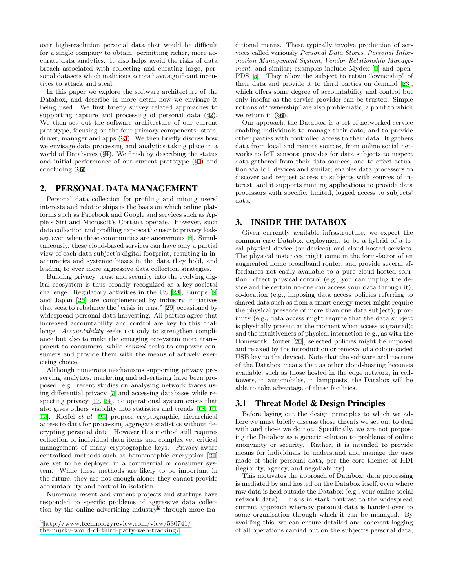over high-resolution personal data that would be difficult for a single company to obtain, permitting richer, more accurate data analytics. It also helps avoid the risks of data breach associated with collecting and curating large, personal datasets which malicious actors have significant incentives to attack and steal.

In this paper we explore the software architecture of the Databox, and describe in more detail how we envisage it being used. We first briefly survey related approaches to supporting capture and processing of personal data (*§*[2\)](#page-1-0). We then set out the software architecture of our current prototype, focusing on the four primary components: store, driver, manager and apps (*§*[3](#page-1-1)). We then briefly discuss how we envisage data processing and analytics taking place in a world of Databoxes (*§*[4\)](#page-2-0). We finish by describing the status and initial performance of our current prototype (*§*[5\)](#page-3-0) and concluding (*§*[6](#page-4-0)).

#### <span id="page-1-0"></span>2. PERSONAL DATA MANAGEMENT

Personal data collection for profiling and mining users' interests and relationships is the basis on which online platforms such as Facebook and Google and services such as Apple's Siri and Microsoft's Cortana operate. However, such data collection and profiling exposes the user to privacy leakage even when these communities are anonymous [[6](#page-4-1)]. Simultaneously, these cloud-based services can have only a partial view of each data subject's digital footprint, resulting in inaccuracies and systemic biases in the data they hold, and leading to ever more aggressive data collection strategies.

Building privacy, trust and security into the evolving digital ecosystem is thus broadly recognized as a key societal challenge. Regulatory activities in the US [\[28\]](#page-5-3), Europe [[8](#page-4-2)] and Japan [[26](#page-5-4)] are complemented by industry initiatives that seek to rebalance the "crisis in trust" [[29\]](#page-5-5) occasioned by widespread personal data harvesting. All parties agree that increased accountability and control are key to this challenge. *Accountability* seeks not only to strengthen compliance but also to make the emerging ecosystem more transparent to consumers, while *control* seeks to empower consumers and provide them with the means of actively exercising choice.

Although numerous mechanisms supporting privacy preserving analytics, marketing and advertising have been proposed, e.g., recent studies on analysing network traces using differential privacy [\[7](#page-4-3)] and accessing databases while respecting privacy [\[17](#page-5-6), [24\]](#page-5-7), no operational system exists that also gives others visibility into statistics and trends [\[13](#page-5-8), [10](#page-5-9), [12](#page-5-10)]. Rieffel *et al.* [\[25](#page-5-11)] propose cryptographic, hierarchical access to data for processing aggregate statistics without decrypting personal data. However this method still requires collection of individual data items and complex yet critical management of many cryptographic keys. Privacy-aware centralised methods such as homomorphic encryption [[21](#page-5-12)] are yet to be deployed in a commercial or consumer system. While these methods are likely to be important in the future, they are not enough alone: they cannot provide accountability and control in isolation.

Numerous recent and current projects and startups have responded to specific problems of aggressive data collec-tion by the online advertising industry<sup>[2](#page-1-2)</sup> through more traditional means. These typically involve production of services called variously *Personal Data Stores*, *Personal Information Management System*, *Vendor Relationship Management*, and similar; examples include Mydex [[1](#page-4-4)] and open-PDS [[5](#page-4-5)]. They allow the subject to retain "ownership" of their data and provide it to third parties on demand [[23\]](#page-5-13), which offers some degree of accountability and control but only insofar as the service provider can be trusted. Simple notions of "ownership" are also problematic, a point to which we return in (*§*[6\)](#page-4-0).

Our approach, the Databox, is a set of networked service enabling individuals to manage their data, and to provide other parties with controlled access to their data. It gathers data from local and remote sources, from online social networks to IoT sensors; provides for data subjects to inspect data gathered from their data sources, and to effect actuation via IoT devices and similar; enables data processors to discover and request access to subjects with sources of interest; and it supports running applications to provide data processors with specific, limited, logged access to subjects' data.

#### <span id="page-1-1"></span>3. INSIDE THE DATABOX

Given currently available infrastructure, we expect the common-case Databox deployment to be a hybrid of a local physical device (or devices) and cloud-hosted services. The physical instances might come in the form-factor of an augmented home broadband router, and provide several affordances not easily available to a pure cloud-hosted solution: direct physical control (e.g., you can unplug the device and be certain no-one can access your data through it); co-location (e.g., imposing data access policies referring to shared data such as from a smart energy meter might require the physical presence of more than one data subject); proximity (e.g., data access might require that the data subject is physically present at the moment when access is granted); and the intuitiveness of physical interaction (e.g., as with the Homework Router [\[20](#page-5-14)], selected policies might be imposed and relaxed by the introduction or removal of a colour-coded USB key to the device). Note that the software architecture of the Databox means that as other cloud-hosting becomes available, such as those hosted in the edge network, in celltowers, in automobiles, in lampposts, the Databox will be able to take advantage of these facilities.

## 3.1 Threat Model & Design Principles

Before laying out the design principles to which we adhere we must briefly discuss those threats we set out to deal with and those we do not. Specifically, we are not proposing the Databox as a generic solution to problems of online anonymity or security. Rather, it is intended to provide means for individuals to understand and manage the uses made of their personal data, per the core themes of HDI (legibility, agency, and negotiability).

This motivates the approach of Databox: data processing is mediated by and hosted on the Databox itself, even where raw data is held outside the Databox (e.g., your online social network data). This is in stark contrast to the widespread current approach whereby personal data is handed over to some organisation through which it can be managed. By avoiding this, we can ensure detailed and coherent logging of all operations carried out on the subject's personal data,

<span id="page-1-2"></span><sup>2</sup>[http://www.technologyreview.com/view/530741/](http://www.technologyreview.com/view/530741/the-murky-world-of-third-party-web-tracking/)

[the-murky-world-of-third-party-web-tracking/](http://www.technologyreview.com/view/530741/the-murky-world-of-third-party-web-tracking/)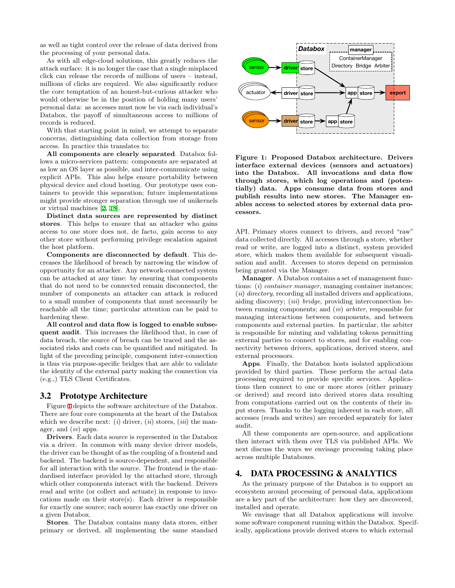as well as tight control over the release of data derived from the processing of your personal data.

As with all edge-cloud solutions, this greatly reduces the attack surface: it is no longer the case that a single misplaced click can release the records of millions of users – instead, millions of clicks are required. We also significantly reduce the core temptation of an honest-but-curious attacker who would otherwise be in the position of holding many users' personal data: as accesses must now be via each individual's Databox, the payoff of simultaneous access to millions of records is reduced.

With that starting point in mind, we attempt to separate concerns, distinguishing data collection from storage from access. In practice this translates to:

**All components are clearly separated**. Databox follows a micro-services pattern: components are separated at as low an OS layer as possible, and inter-communicate using explicit APIs. This also helps ensure portability between physical device and cloud hosting. Our prototype uses containers to provide this separation; future implementations might provide stronger separation through use of unikernels or virtual machines [\[2,](#page-4-6) [18\]](#page-5-15).

**Distinct data sources are represented by distinct stores**. This helps to ensure that an attacker who gains access to one store does not, de facto, gain access to any other store without performing privilege escalation against the host platform.

**Components are disconnected by default**. This decreases the likelihood of breach by narrowing the window of opportunity for an attacker. Any network-connected system can be attacked at any time: by ensuring that components that do not need to be connected remain disconnected, the number of components an attacker can attack is reduced to a small number of components that must necessarily be reachable all the time; particular attention can be paid to hardening these.

**All control and data flow is logged to enable subsequent audit**. This increases the likelihood that, in case of data breach, the source of breach can be traced and the associated risks and costs can be quantified and mitigated. In light of the preceding principle, component inter-connection is thus via purpose-specific bridges that are able to validate the identity of the external party making the connection via (e.g.,) TLS Client Certificates.

#### 3.2 Prototype Architecture

Figure [1](#page-2-1) depicts the software architecture of the Databox. There are four core components at the heart of the Databox which we describe next: (*i*) driver, (*ii*) stores, (*iii*) the manager, and (*iv*) apps.

**Drivers**. Each data source is represented in the Databox via a driver. In common with many device driver models, the driver can be thought of as the coupling of a frontend and backend. The backend is source-dependent, and responsible for all interaction with the source. The frontend is the standardised interface provided by the attached store, through which other components interact with the backend. Drivers read and write (or collect and actuate) in response to invocations made on their store(s). Each driver is responsible for exactly one source; each source has exactly one driver on a given Databox.

**Stores**. The Databox contains many data stores, either primary or derived, all implementing the same standard



<span id="page-2-1"></span>**Figure 1: Proposed Databox architecture. Drivers interface external devices (sensors and actuators) into the Databox. All invocations and data flow through stores, which log operations and (potentially) data. Apps consume data from stores and publish results into new stores. The Manager enables access to selected stores by external data processors.**

API. Primary stores connect to drivers, and record "raw" data collected directly. All accesses through a store, whether read or write, are logged into a distinct, system provided store, which makes them available for subsequent visualisation and audit. Accesses to stores depend on permission being granted via the Manager.

**Manager**. A Databox contains a set of management functions: (*i*) *container manager*, managing container instances; (*ii*) *directory*, recording all installed drivers and applications, aiding discovery; (*iii*) *bridge*, providing interconnection between running components; and (*iv*) *arbiter*, responsible for managing interactions between components, and between components and external parties. In particular, the arbiter is responsible for minting and validating tokens permitting external parties to connect to stores, and for enabling connectivity between drivers, applications, derived stores, and external processors.

**Apps**. Finally, the Databox hosts isolated applications provided by third parties. These perform the actual data processing required to provide specific services. Applications then connect to one or more stores (either primary or derived) and record into derived stores data resulting from computations carried out on the contents of their input stores. Thanks to the logging inherent in each store, all accesses (reads and writes) are recorded separately for later audit.

All these components are open-source, and applications then interact with them over TLS via published APIs. We next discuss the ways we envisage processing taking place across multiple Databoxes.

# <span id="page-2-0"></span>4. DATA PROCESSING & ANALYTICS

As the primary purpose of the Databox is to support an ecosystem around processing of personal data, applications are a key part of the architecture: how they are discovered, installed and operate.

We envisage that all Databox applications will involve some software component running within the Databox. Specifically, applications provide derived stores to which external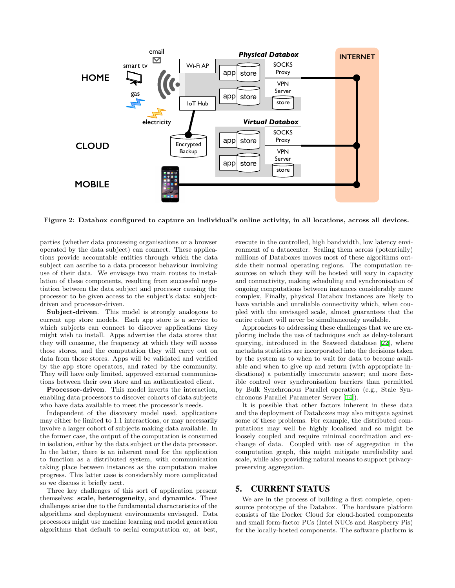

**Figure 2: Databox configured to capture an individual's online activity, in all locations, across all devices.**

parties (whether data processing organisations or a browser operated by the data subject) can connect. These applications provide accountable entities through which the data subject can ascribe to a data processor behaviour involving use of their data. We envisage two main routes to installation of these components, resulting from successful negotiation between the data subject and processor causing the processor to be given access to the subject's data: subjectdriven and processor-driven.

**Subject-driven**. This model is strongly analogous to current app store models. Each app store is a service to which subjects can connect to discover applications they might wish to install. Apps advertise the data stores that they will consume, the frequency at which they will access those stores, and the computation they will carry out on data from those stores. Apps will be validated and verified by the app store operators, and rated by the community. They will have only limited, approved external communications between their own store and an authenticated client.

**Processor-driven**. This model inverts the interaction, enabling data processors to discover cohorts of data subjects who have data available to meet the processor's needs.

Independent of the discovery model used, applications may either be limited to 1:1 interactions, or may necessarily involve a larger cohort of subjects making data available. In the former case, the output of the computation is consumed in isolation, either by the data subject or the data processor. In the latter, there is an inherent need for the application to function as a distributed system, with communication taking place between instances as the computation makes progress. This latter case is considerably more complicated so we discuss it briefly next.

Three key challenges of this sort of application present themselves: **scale**, **heterogeneity**, and **dynamics**. These challenges arise due to the fundamental characteristics of the algorithms and deployment environments envisaged. Data processors might use machine learning and model generation algorithms that default to serial computation or, at best,

<span id="page-3-1"></span>execute in the controlled, high bandwidth, low latency environment of a datacenter. Scaling them across (potentially) millions of Databoxes moves most of these algorithms outside their normal operating regions. The computation resources on which they will be hosted will vary in capacity and connectivity, making scheduling and synchronisation of ongoing computations between instances considerably more complex, Finally, physical Databox instances are likely to have variable and unreliable connectivity which, when coupled with the envisaged scale, almost guarantees that the entire cohort will never be simultaneously available.

Approaches to addressing these challenges that we are exploring include the use of techniques such as delay-tolerant querying, introduced in the Seaweed database [[22\]](#page-5-16), where metadata statistics are incorporated into the decisions taken by the system as to when to wait for data to become available and when to give up and return (with appropriate indications) a potentially inaccurate answer; and more flexible control over synchronisation barriers than permitted by Bulk Synchronous Parallel operation (e.g., Stale Synchronous Parallel Parameter Server [[14](#page-5-17)]).

It is possible that other factors inherent in these data and the deployment of Databoxes may also mitigate against some of these problems. For example, the distributed computations may well be highly localised and so might be loosely coupled and require minimal coordination and exchange of data. Coupled with use of aggregation in the computation graph, this might mitigate unreliability and scale, while also providing natural means to support privacypreserving aggregation.

#### <span id="page-3-0"></span>5. CURRENT STATUS

We are in the process of building a first complete, opensource prototype of the Databox. The hardware platform consists of the Docker Cloud for cloud-hosted components and small form-factor PCs (Intel NUCs and Raspberry Pis) for the locally-hosted components. The software platform is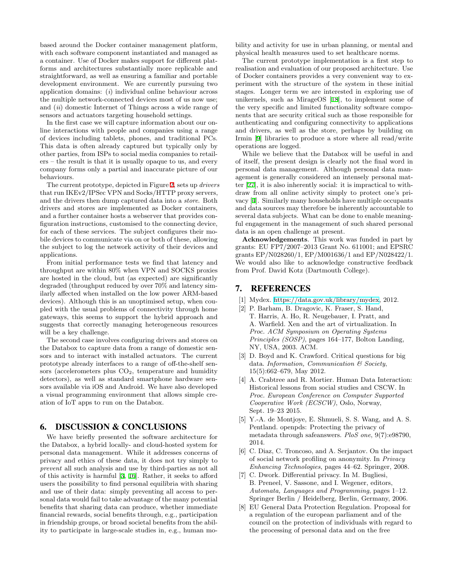based around the Docker container management platform, with each software component instantiated and managed as a container. Use of Docker makes support for different platforms and architectures substantially more replicable and straightforward, as well as ensuring a familiar and portable development environment. We are currently pursuing two application domains: (*i*) individual online behaviour across the multiple network-connected devices most of us now use; and (*ii*) domestic Internet of Things across a wide range of sensors and actuators targeting household settings.

In the first case we will capture information about our online interactions with people and companies using a range of devices including tablets, phones, and traditional PCs. This data is often already captured but typically only by other parties, from ISPs to social media companies to retailers – the result is that it is usually opaque to us, and every company forms only a partial and inaccurate picture of our behaviours.

The current prototype, depicted in Figure [2,](#page-3-1) sets up *drivers* that run IKEv2/IPSec VPN and Socks/HTTP proxy servers, and the drivers then dump captured data into a *store*. Both drivers and stores are implemented as Docker containers, and a further container hosts a webserver that provides configuration instructions, customised to the connecting device, for each of these services. The subject configures their mobile devices to communicate via on or both of these, allowing the subject to log the network activity of their devices and applications.

From initial performance tests we find that latency and throughput are within 80% when VPN and SOCKS proxies are hosted in the cloud, but (as expected) are significantly degraded (throughput reduced by over 70% and latency similarly affected when installed on the low power ARM-based devices). Although this is an unoptimised setup, when coupled with the usual problems of connectivity through home gateways, this seems to support the hybrid approach and suggests that correctly managing heterogeneous resources will be a key challenge.

The second case involves configuring drivers and stores on the Databox to capture data from a range of domestic sensors and to interact with installed actuators. The current prototype already interfaces to a range of off-the-shelf sensors (accelerometers plus CO2, temperature and humidity detectors), as well as standard smartphone hardware sensors available via iOS and Android. We have also developed a visual programming environment that allows simple creation of IoT apps to run on the Databox.

#### <span id="page-4-0"></span>6. DISCUSSION & CONCLUSIONS

We have briefly presented the software architecture for the Databox, a hybrid locally- and cloud-hosted system for personal data management. While it addresses concerns of privacy and ethics of these data, it does not try simply to *prevent* all such analysis and use by third-parties as not all of this activity is harmful [[3](#page-4-7), [16](#page-5-18)]. Rather, it seeks to afford users the possibility to find personal equilibria with sharing and use of their data: simply preventing all access to personal data would fail to take advantage of the many potential benefits that sharing data can produce, whether immediate financial rewards, social benefits through, e.g., participation in friendship groups, or broad societal benefits from the ability to participate in large-scale studies in, e.g., human mobility and activity for use in urban planning, or mental and physical health measures used to set healthcare norms.

The current prototype implementation is a first step to realisation and evaluation of our proposed architecture. Use of Docker containers provides a very convenient way to experiment with the structure of the system in these initial stages. Longer term we are interested in exploring use of unikernels, such as MirageOS [\[18](#page-5-15)], to implement some of the very specific and limited functionality software components that are security critical such as those responsible for authenticating and configuring connectivity to applications and drivers, as well as the store, perhaps by building on Irmin [\[9](#page-5-19)] libraries to produce a store where all read/write operations are logged.

While we believe that the Databox will be useful in and of itself, the present design is clearly not the final word in personal data management. Although personal data management is generally considered an intensely personal matter [\[27\]](#page-5-20), it is also inherently social: it is impractical to withdraw from all online activity simply to protect one's privacy [\[4\]](#page-4-8). Similarly many households have multiple occupants and data sources may therefore be inherently accountable to several data subjects. What can be done to enable meaningful engagement in the management of such shared personal data is an open challenge at present.

**Acknowledgements**. This work was funded in part by grants: EU FP7/2007–2013 Grant No. 611001; and EPSRC grants EP/N028260/1, EP/M001636/1 and EP/N028422/1. We would also like to acknowledge constructive feedback from Prof. David Kotz (Dartmouth College).

## 7. REFERENCES

- <span id="page-4-4"></span>[1] Mydex. <https://data.gov.uk/library/mydex>, 2012.
- <span id="page-4-6"></span>[2] P. Barham, B. Dragovic, K. Fraser, S. Hand, T. Harris, A. Ho, R. Neugebauer, I. Pratt, and A. Warfield. Xen and the art of virtualization. In *Proc. ACM Symposium on Operating Systems Principles (SOSP)*, pages 164–177, Bolton Landing, NY, USA, 2003. ACM.
- <span id="page-4-7"></span>[3] D. Boyd and K. Crawford. Critical questions for big data. *Information, Communication & Society*, 15(5):662–679, May 2012.
- <span id="page-4-8"></span>[4] A. Crabtree and R. Mortier. Human Data Interaction: Historical lessons from social studies and CSCW. In *Proc. European Conference on Computer Supported Cooperative Work (ECSCW)*, Oslo, Norway, Sept. 19–23 2015.
- <span id="page-4-5"></span>[5] Y.-A. de Montjoye, E. Shmueli, S. S. Wang, and A. S. Pentland. openpds: Protecting the privacy of metadata through safeanswers. *PloS one*, 9(7):e98790, 2014.
- <span id="page-4-1"></span>[6] C. Diaz, C. Troncoso, and A. Serjantov. On the impact of social network profiling on anonymity. In *Privacy Enhancing Technologies*, pages 44–62. Springer, 2008.
- <span id="page-4-3"></span>[7] C. Dwork. Differential privacy. In M. Bugliesi, B. Preneel, V. Sassone, and I. Wegener, editors, *Automata, Languages and Programming*, pages 1–12. Springer Berlin / Heidelberg, Berlin, Germany, 2006.
- <span id="page-4-2"></span>[8] EU General Data Protection Regulation. Proposal for a regulation of the european parliament and of the council on the protection of individuals with regard to the processing of personal data and on the free